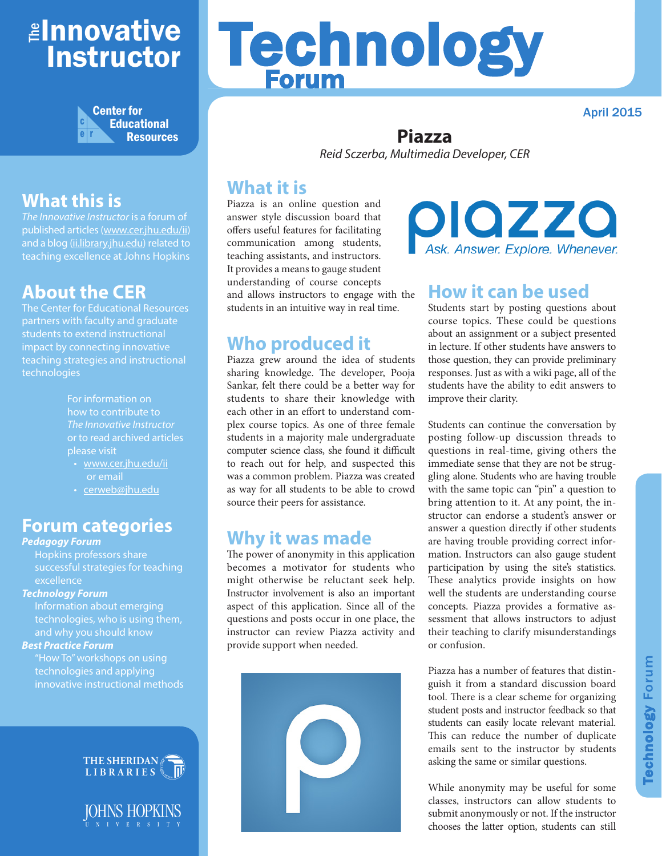## ≇l<mark>nnovative</mark> Instructor



## **What this is**

*The Innovative Instructor* is a forum of published articles (www.cer.jhu.edu/ii) and a blog (ii.library.jhu.edu) related to teaching excellence at Johns Hopkins

### **About the CER**

The Center for Educational Resources partners with faculty and graduate students to extend instructional impact by connecting innovative teaching strategies and instructional technologies

> For information on how to contribute to *The Innovative Instructor* or to read archived articles please visit

- www.cer.jhu.edu/ii or email
- cerweb@jhu.edu

#### **Forum categories**

#### *Pedagogy Forum*

Hopkins professors share successful strategies for teaching excellence

#### *Technology Forum*

Information about emerging technologies, who is using them, and why you should know

#### *Best Practice Forum*

"How To" workshops on using technologies and applying innovative instructional methods



JOHNS HOPKINS

# Technology Forum

April 2015

#### **Piazza** *Reid Sczerba, Multimedia Developer, CER*

#### **What it is**

Piazza is an online question and answer style discussion board that offers useful features for facilitating communication among students, teaching assistants, and instructors. It provides a means to gauge student understanding of course concepts and allows instructors to engage with the students in an intuitive way in real time.

#### **Who produced it**

Piazza grew around the idea of students sharing knowledge. The developer, Pooja Sankar, felt there could be a better way for students to share their knowledge with each other in an effort to understand complex course topics. As one of three female students in a majority male undergraduate computer science class, she found it difficult to reach out for help, and suspected this was a common problem. Piazza was created as way for all students to be able to crowd source their peers for assistance.

#### **Why it was made**

The power of anonymity in this application becomes a motivator for students who might otherwise be reluctant seek help. Instructor involvement is also an important aspect of this application. Since all of the questions and posts occur in one place, the instructor can review Piazza activity and provide support when needed.



piazza sk. Answer. Explore. Whenever.

#### **How it can be used**

Students start by posting questions about course topics. These could be questions about an assignment or a subject presented in lecture. If other students have answers to those question, they can provide preliminary responses. Just as with a wiki page, all of the students have the ability to edit answers to improve their clarity.

Students can continue the conversation by posting follow-up discussion threads to questions in real-time, giving others the immediate sense that they are not be struggling alone. Students who are having trouble with the same topic can "pin" a question to bring attention to it. At any point, the instructor can endorse a student's answer or answer a question directly if other students are having trouble providing correct information. Instructors can also gauge student participation by using the site's statistics. These analytics provide insights on how well the students are understanding course concepts. Piazza provides a formative assessment that allows instructors to adjust their teaching to clarify misunderstandings or confusion.

Piazza has a number of features that distinguish it from a standard discussion board tool. There is a clear scheme for organizing student posts and instructor feedback so that students can easily locate relevant material. This can reduce the number of duplicate emails sent to the instructor by students asking the same or similar questions.

While anonymity may be useful for some classes, instructors can allow students to submit anonymously or not. If the instructor chooses the latter option, students can still